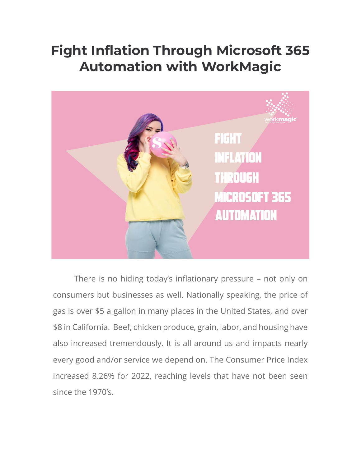# **Fight Inflation Through Microsoft 365 Automation with WorkMagic**



There is no hiding today's inflationary pressure – not only on consumers but businesses as well. Nationally speaking, the price of gas is over \$5 a gallon in many places in the United States, and over \$8 in California. Beef, chicken produce, grain, labor, and housing have also increased tremendously. It is all around us and impacts nearly every good and/or service we depend on. The Consumer Price Index increased 8.26% for 2022, reaching levels that have not been seen since the 1970's.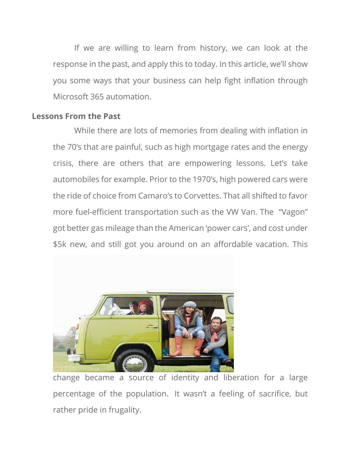If we are willing to learn from history, we can look at the response in the past, and apply this to today. In this article, we'll show you some ways that your business can help fight inflation through Microsoft 365 automation.

## **Lessons From the Past**

While there are lots of memories from dealing with inflation in the 70's that are painful, such as high mortgage rates and the energy crisis, there are others that are empowering lessons. Let's take automobiles for example. Prior to the 1970's, high powered cars were the ride of choice from Camaro's to Corvettes. That all shifted to favor more fuel-efficient transportation such as the VW Van. The "Vagon" got better gas mileage than the American 'power cars', and cost under \$5k new, and still got you around on an affordable vacation. This



change became a source of identity and liberation for a large percentage of the population. It wasn't a feeling of sacrifice, but rather pride in frugality.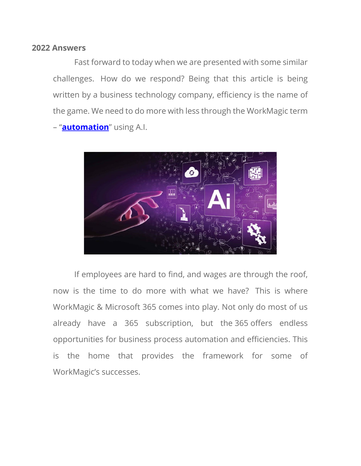#### **2022 Answers**

Fast forward to today when we are presented with some similar challenges. How do we respond? Being that this article is being written by a business technology company, efficiency is the name of the game. We need to do more with less through the WorkMagic term – "**[automation](https://www.workmagic.com/services/artificial-intelligence/)**" using A.I.



If employees are hard to find, and wages are through the roof, now is the time to do more with what we have? This is where WorkMagic & Microsoft 365 comes into play. Not only do most of us already have a 365 subscription, but the 365 offers endless opportunities for business process automation and efficiencies. This is the home that provides the framework for some of WorkMagic's successes.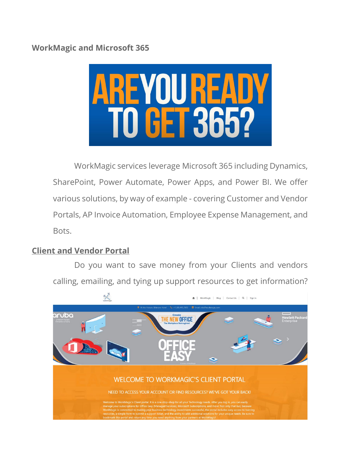# **WorkMagic and Microsoft 365**



WorkMagic services leverage Microsoft 365 including Dynamics, SharePoint, Power Automate, Power Apps, and Power BI. We offer various solutions, by way of example - covering Customer and Vendor Portals, AP Invoice Automation, Employee Expense Management, and Bots.

## **Client and Vendor Portal**

Do you want to save money from your Clients and vendors calling, emailing, and tying up support resources to get information?

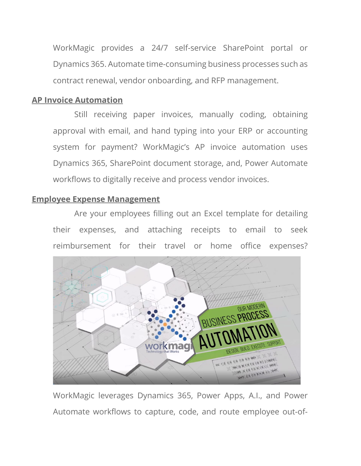WorkMagic provides a 24/7 self-service SharePoint portal or Dynamics 365. Automate time-consuming business processes such as contract renewal, vendor onboarding, and RFP management.

#### **AP Invoice Automation**

Still receiving paper invoices, manually coding, obtaining approval with email, and hand typing into your ERP or accounting system for payment? WorkMagic's AP invoice automation uses Dynamics 365, SharePoint document storage, and, Power Automate workflows to digitally receive and process vendor invoices.

#### **Employee Expense Management**

Are your employees filling out an Excel template for detailing their expenses, and attaching receipts to email to seek reimbursement for their travel or home office expenses?



WorkMagic leverages Dynamics 365, Power Apps, A.I., and Power Automate workflows to capture, code, and route employee out-of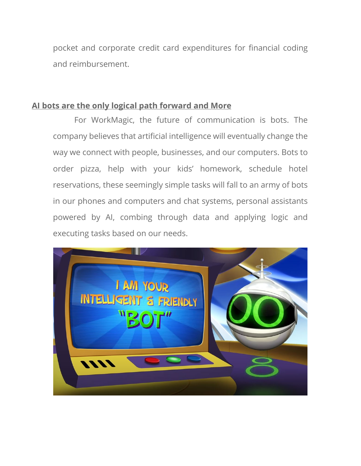pocket and corporate credit card expenditures for financial coding and reimbursement.

## **AI bots are the only logical path forward and More**

For WorkMagic, the future of communication is bots. The company believes that artificial intelligence will eventually change the way we connect with people, businesses, and our computers. Bots to order pizza, help with your kids' homework, schedule hotel reservations, these seemingly simple tasks will fall to an army of bots in our phones and computers and chat systems, personal assistants powered by AI, combing through data and applying logic and executing tasks based on our needs.